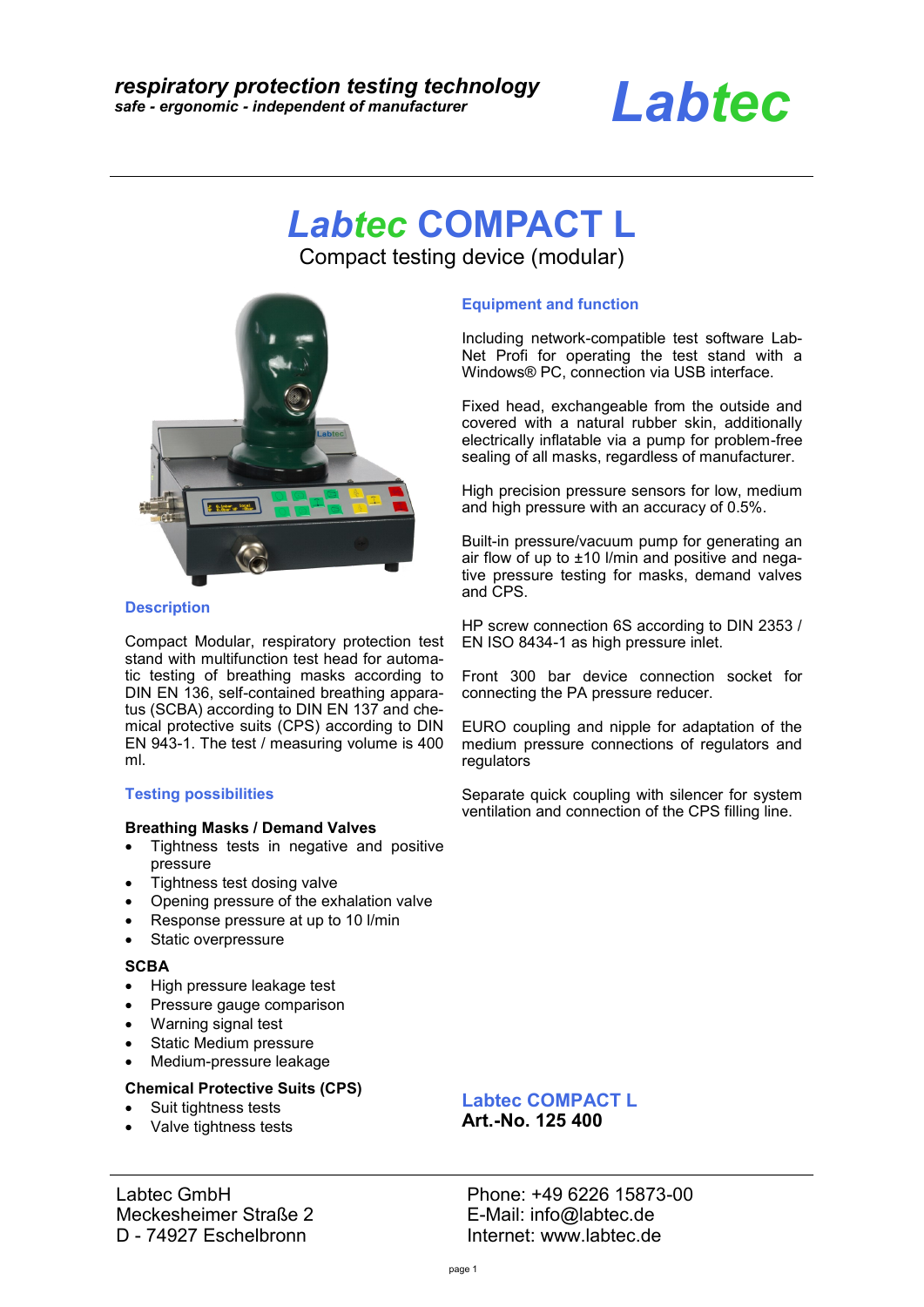# *Labtec*

# *Labtec* **COMPACT L**

Compact testing device (modular)



#### **Description**

Compact Modular, respiratory protection test stand with multifunction test head for automatic testing of breathing masks according to DIN EN 136, self-contained breathing apparatus (SCBA) according to DIN EN 137 and chemical protective suits (CPS) according to DIN EN 943-1. The test / measuring volume is 400 ml.

#### **Testing possibilities**

#### **Breathing Masks / Demand Valves**

- Tightness tests in negative and positive pressure
- Tightness test dosing valve
- Opening pressure of the exhalation valve
- Response pressure at up to 10 l/min
- Static overpressure

#### **SCBA**

- High pressure leakage test
- Pressure gauge comparison
- Warning signal test
- Static Medium pressure
- Medium-pressure leakage

#### **Chemical Protective Suits (CPS)**

- Suit tightness tests
- Valve tightness tests

Labtec GmbH Meckesheimer Straße 2 D - 74927 Eschelbronn

#### **Equipment and function**

Including network-compatible test software Lab-Net Profi for operating the test stand with a Windows® PC, connection via USB interface.

Fixed head, exchangeable from the outside and covered with a natural rubber skin, additionally electrically inflatable via a pump for problem-free sealing of all masks, regardless of manufacturer.

High precision pressure sensors for low, medium and high pressure with an accuracy of 0.5%.

Built-in pressure/vacuum pump for generating an air flow of up to  $\pm 10$  l/min and positive and negative pressure testing for masks, demand valves and CPS.

HP screw connection 6S according to DIN 2353 / EN ISO 8434-1 as high pressure inlet.

Front 300 bar device connection socket for connecting the PA pressure reducer.

EURO coupling and nipple for adaptation of the medium pressure connections of regulators and regulators

Separate quick coupling with silencer for system ventilation and connection of the CPS filling line.

# **Labtec COMPACT L**

**Art.-No. 125 400**

Phone: +49 6226 15873-00 E-Mail: info@labtec.de Internet: www.labtec.de